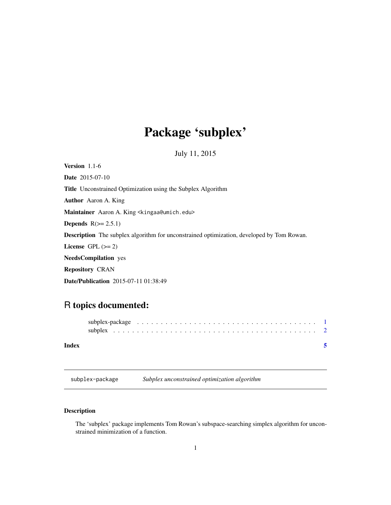## <span id="page-0-0"></span>Package 'subplex'

July 11, 2015

<span id="page-0-1"></span>Version 1.1-6 Date 2015-07-10 Title Unconstrained Optimization using the Subplex Algorithm Author Aaron A. King Maintainer Aaron A. King <kingaa@umich.edu> Depends  $R(>= 2.5.1)$ Description The subplex algorithm for unconstrained optimization, developed by Tom Rowan. License GPL  $(>= 2)$ NeedsCompilation yes Repository CRAN Date/Publication 2015-07-11 01:38:49

### R topics documented:

| Index |  |  |  |
|-------|--|--|--|

subplex-package *Subplex unconstrained optimization algorithm*

#### Description

The 'subplex' package implements Tom Rowan's subspace-searching simplex algorithm for unconstrained minimization of a function.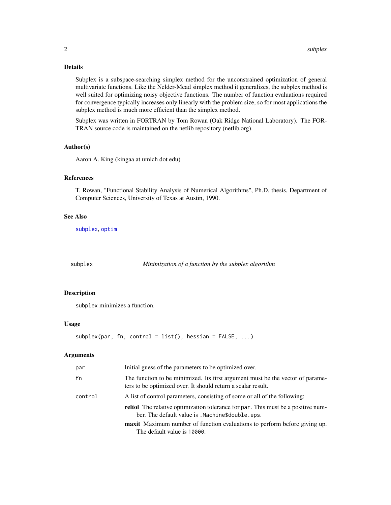#### <span id="page-1-0"></span>Details

Subplex is a subspace-searching simplex method for the unconstrained optimization of general multivariate functions. Like the Nelder-Mead simplex method it generalizes, the subplex method is well suited for optimizing noisy objective functions. The number of function evaluations required for convergence typically increases only linearly with the problem size, so for most applications the subplex method is much more efficient than the simplex method.

Subplex was written in FORTRAN by Tom Rowan (Oak Ridge National Laboratory). The FOR-TRAN source code is maintained on the netlib repository (netlib.org).

#### Author(s)

Aaron A. King (kingaa at umich dot edu)

#### References

T. Rowan, "Functional Stability Analysis of Numerical Algorithms", Ph.D. thesis, Department of Computer Sciences, University of Texas at Austin, 1990.

#### See Also

[subplex](#page-1-1), [optim](#page-0-1)

<span id="page-1-1"></span>subplex *Minimization of a function by the subplex algorithm*

#### Description

subplex minimizes a function.

#### Usage

```
subplex(par, fn, control = list(), hessian = FALSE, ...)
```
#### Arguments

| par     | Initial guess of the parameters to be optimized over.                                                                                          |
|---------|------------------------------------------------------------------------------------------------------------------------------------------------|
| fn      | The function to be minimized. Its first argument must be the vector of parame-<br>ters to be optimized over. It should return a scalar result. |
| control | A list of control parameters, consisting of some or all of the following:                                                                      |
|         | <b>reltol</b> The relative optimization tolerance for par. This must be a positive num-<br>ber. The default value is . Machine\$double.eps.    |
|         | <b>maxit</b> Maximum number of function evaluations to perform before giving up.<br>The default value is 10000.                                |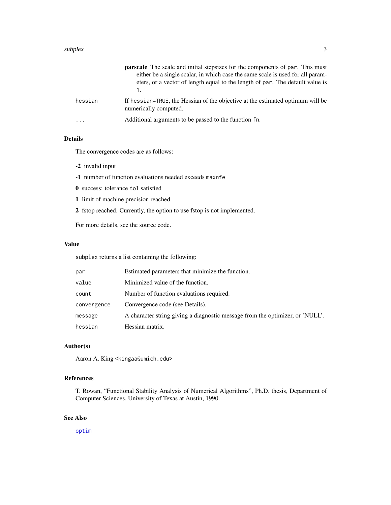#### <span id="page-2-0"></span> $subplex$   $3$

|         | <b>parscale</b> The scale and initial stepsizes for the components of par. This must<br>either be a single scalar, in which case the same scale is used for all param-<br>eters, or a vector of length equal to the length of par. The default value is |
|---------|---------------------------------------------------------------------------------------------------------------------------------------------------------------------------------------------------------------------------------------------------------|
| hessian | If hessian=TRUE, the Hessian of the objective at the estimated optimum will be<br>numerically computed.                                                                                                                                                 |
| .       | Additional arguments to be passed to the function fn.                                                                                                                                                                                                   |

#### Details

The convergence codes are as follows:

- -2 invalid input
- -1 number of function evaluations needed exceeds maxnfe
- 0 success: tolerance tol satisfied
- 1 limit of machine precision reached
- 2 fstop reached. Currently, the option to use fstop is not implemented.

For more details, see the source code.

#### Value

subplex returns a list containing the following:

| par         | Estimated parameters that minimize the function.                              |
|-------------|-------------------------------------------------------------------------------|
| value       | Minimized value of the function.                                              |
| count       | Number of function evaluations required.                                      |
| convergence | Convergence code (see Details).                                               |
| message     | A character string giving a diagnostic message from the optimizer, or 'NULL'. |
| hessian     | Hessian matrix.                                                               |

#### Author(s)

Aaron A. King <kingaa@umich.edu>

#### References

T. Rowan, "Functional Stability Analysis of Numerical Algorithms", Ph.D. thesis, Department of Computer Sciences, University of Texas at Austin, 1990.

#### See Also

[optim](#page-0-1)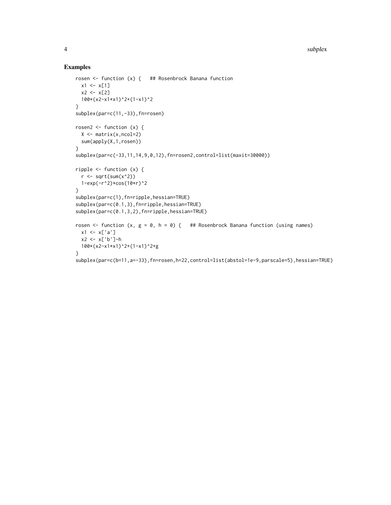#### Examples

```
rosen <- function (x) { ## Rosenbrock Banana function
 x1 \leftarrow x[1]x2 < - x[2]100*(x2-x1*x1)^2+(1-x1)^2
}
subplex(par=c(11,-33),fn=rosen)
rosen2 \leq function (x) {
  X \leftarrow matrix(x, \text{ncol=2})sum(apply(X,1,rosen))
}
subplex(par=c(-33,11,14,9,0,12),fn=rosen2,control=list(maxit=30000))
ripple <- function (x) {
 r \leftarrow \text{sqrt}(\text{sum}(x^2))1-exp(-r^2)*cos(10*r)^2
}
subplex(par=c(1),fn=ripple,hessian=TRUE)
subplex(par=c(0.1,3),fn=ripple,hessian=TRUE)
subplex(par=c(0.1,3,2),fn=ripple,hessian=TRUE)
rosen <- function (x, g = 0, h = 0) { ## Rosenbrock Banana function (using names)
 x1 \leftarrow x['a']x2 <- x['b']-h
 100*(x2-x1*x1)^2+(1-x1)^2+g
}
subplex(par=c(b=11,a=-33),fn=rosen,h=22,control=list(abstol=1e-9,parscale=5),hessian=TRUE)
```